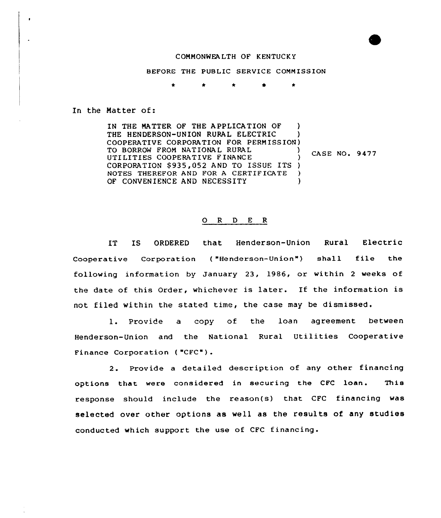## COMMONWEALTH OF KENTUCKY

BEFORE THE PUBLIC SERVICE COMMISSION

In the Matter of:

IN THE NATTER OF THE APPLICATION OF ) THE HENDERSON-UNION RURAL ELECTRIC COOPERATIVE CORPORATION FOR PERMISSION) TO BORROW FROM NATIONAL RURAL CASE NO. 9477 UTILITIES COOPERATIVE FINANCE CORPORATION \$935,052 AND TO ISSUE ITS )<br>NOTES THEREFOR AND FOR A CERTIFICATE NOTES THEREFOR AND FOR A CERTIFICATE )<br>OF CONVENIENCE AND NECESSITY OF CONVENIENCE AND NECESSITY

## 0 <sup>R</sup> <sup>D</sup> <sup>E</sup> <sup>R</sup>

IT IS ORDERED that Henderson-Union Rural Electric Cooperative Corporation ("Henderson-Union") shall file the following information by January 23, 1986, or within <sup>2</sup> weeks of the date of this Order, whichever is later. If the information is not filed within the stated time, the case may be dismissed.

1. Provide a copy of the loan agreement betwee Henderson-Union and the National Rural Utilities Cooperative Finance Corporation ( "CFC" ) .

2. Provide a detailed description of any other financing options that were considered in securing the CFC loan. This response should include the reason(s) that CFC financing was selected over other options as well as the results of any studies conducted which support the use of CFC financing.